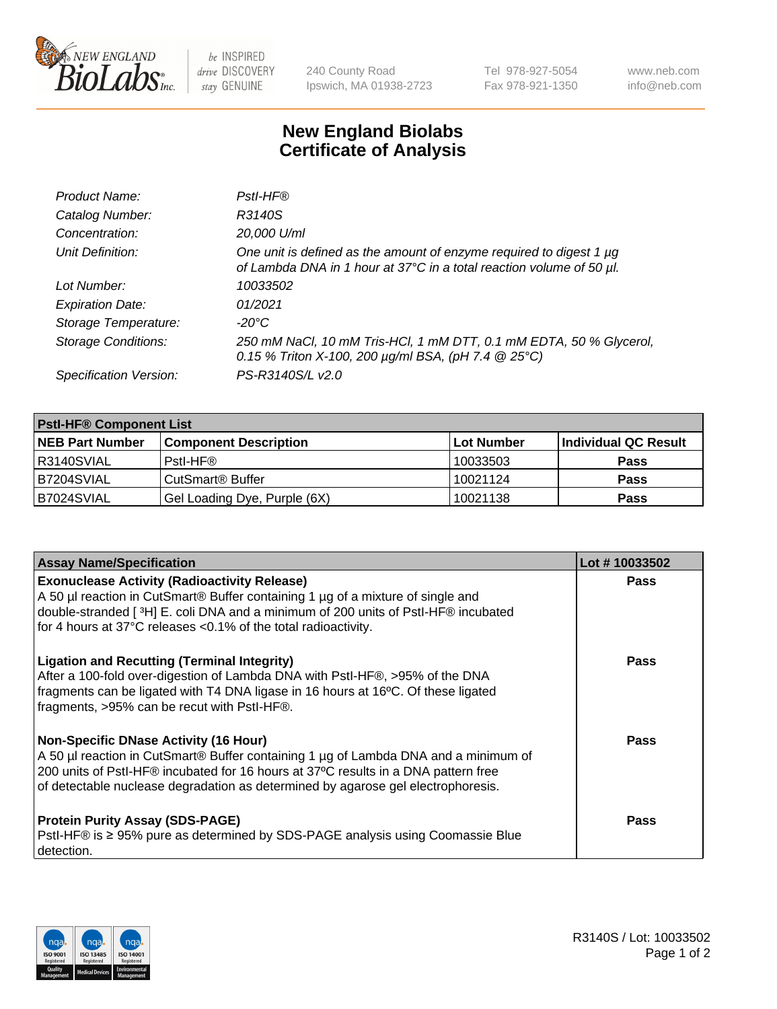

 $be$  INSPIRED drive DISCOVERY stay GENUINE

240 County Road Ipswich, MA 01938-2723 Tel 978-927-5054 Fax 978-921-1350 www.neb.com info@neb.com

## **New England Biolabs Certificate of Analysis**

| Product Name:              | Pstl-HF®                                                                                                                                             |
|----------------------------|------------------------------------------------------------------------------------------------------------------------------------------------------|
| Catalog Number:            | R3140S                                                                                                                                               |
| Concentration:             | 20,000 U/ml                                                                                                                                          |
| Unit Definition:           | One unit is defined as the amount of enzyme required to digest 1 µg<br>of Lambda DNA in 1 hour at 37°C in a total reaction volume of 50 µl.          |
| Lot Number:                | 10033502                                                                                                                                             |
| <b>Expiration Date:</b>    | 01/2021                                                                                                                                              |
| Storage Temperature:       | $-20^{\circ}$ C                                                                                                                                      |
| <b>Storage Conditions:</b> | 250 mM NaCl, 10 mM Tris-HCl, 1 mM DTT, 0.1 mM EDTA, 50 % Glycerol,<br>0.15 % Triton X-100, 200 $\mu$ g/ml BSA, (pH 7.4 $\textcircled{25}^{\circ}$ C) |
| Specification Version:     | PS-R3140S/L v2.0                                                                                                                                     |

| <b>PstI-HF® Component List</b> |                              |            |                      |  |
|--------------------------------|------------------------------|------------|----------------------|--|
| <b>NEB Part Number</b>         | <b>Component Description</b> | Lot Number | Individual QC Result |  |
| R3140SVIAL                     | Pstl-HF®                     | 10033503   | <b>Pass</b>          |  |
| B7204SVIAL                     | CutSmart <sup>®</sup> Buffer | 10021124   | <b>Pass</b>          |  |
| B7024SVIAL                     | Gel Loading Dye, Purple (6X) | 10021138   | <b>Pass</b>          |  |

| <b>Assay Name/Specification</b>                                                                                                                                                                                                                                                                               | Lot #10033502 |
|---------------------------------------------------------------------------------------------------------------------------------------------------------------------------------------------------------------------------------------------------------------------------------------------------------------|---------------|
| <b>Exonuclease Activity (Radioactivity Release)</b><br>A 50 µl reaction in CutSmart® Buffer containing 1 µg of a mixture of single and                                                                                                                                                                        | <b>Pass</b>   |
| double-stranded [3H] E. coli DNA and a minimum of 200 units of PstI-HF® incubated<br>for 4 hours at 37°C releases <0.1% of the total radioactivity.                                                                                                                                                           |               |
| <b>Ligation and Recutting (Terminal Integrity)</b><br>After a 100-fold over-digestion of Lambda DNA with PstI-HF®, >95% of the DNA<br>fragments can be ligated with T4 DNA ligase in 16 hours at 16°C. Of these ligated<br>fragments, >95% can be recut with PstI-HF®.                                        | Pass          |
| <b>Non-Specific DNase Activity (16 Hour)</b><br>A 50 µl reaction in CutSmart® Buffer containing 1 µg of Lambda DNA and a minimum of<br>200 units of PstI-HF® incubated for 16 hours at 37°C results in a DNA pattern free<br>of detectable nuclease degradation as determined by agarose gel electrophoresis. | <b>Pass</b>   |
| <b>Protein Purity Assay (SDS-PAGE)</b><br>PstI-HF® is ≥ 95% pure as determined by SDS-PAGE analysis using Coomassie Blue<br>I detection.                                                                                                                                                                      | Pass          |